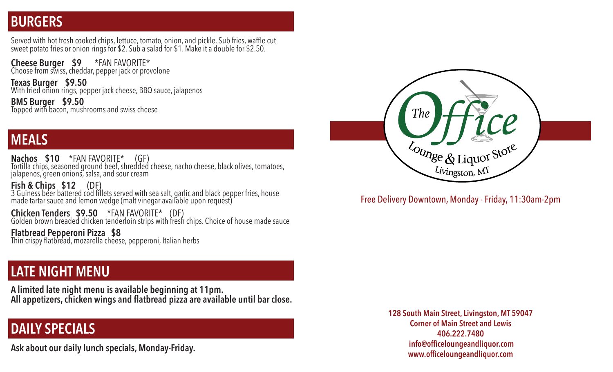### **BURGERS**

Served with hot fresh cooked chips, lettuce, tomato, onion, and pickle. Sub fries, waffle cut sweet potato fries or onion rings for \$2. Sub a salad for \$1. Make it a double for \$2.50.

**Cheese Burger \$9** \*FAN FAVORITE\* Choose from swiss, cheddar, pepper jack or provolone

**Texas Burger \$9.50**  With fried onion rings, pepper jack cheese, BBQ sauce, jalapenos

**BMS Burger \$9.50** Topped with bacon, mushrooms and swiss cheese

### **MEALS**

**Nachos \$10 \***FAN FAVORITE\* (GF)<br>Tortilla chips, seasoned ground beef, shredded cheese, nacho cheese, black olives, tomatoes, jalapenos, green onions, salsa, and sour cream

**Fish & Chips \$12 (DF)**<br>3 Guiness beer battered cod fillets served with sea salt, garlic and black pepper fries, house made tartar sauce and lemon wedge (malt vinegar available upon request)

**Chicken Tenders \$9.50** \*FAN FAVORITE\* (DF)<br>Golden brown breaded chicken tenderloin strips with fresh chips. Choice of house made sauce

**Flatbread Pepperoni Pizza \$8** Thin crispy flatbread, mozarella cheese, pepperoni, Italian herbs

#### **LATE NIGHT MENU**

**A limited late night menu is available beginning at 11pm. All appetizers, chicken wings and flatbread pizza are available until bar close.**

### **DAILY SPECIALS**

**Ask about our daily lunch specials, Monday-Friday.**



Free Delivery Downtown, Monday - Friday, 11:30am-2pm

**128 South Main Street, Livingston, MT 59047 Corner of Main Street and Lewis 406.222.7480 info@officeloungeandliquor.com www.officeloungeandliquor.com**